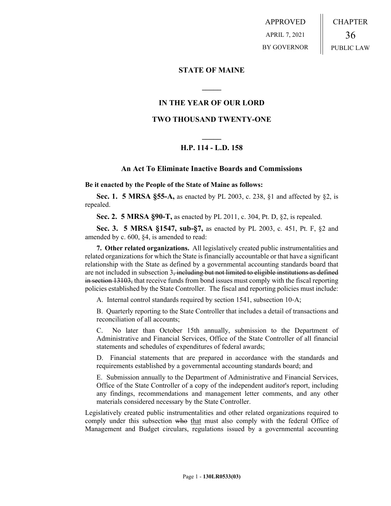APPROVED APRIL 7, 2021 BY GOVERNOR CHAPTER 36 PUBLIC LAW

## **STATE OF MAINE**

## **IN THE YEAR OF OUR LORD**

**\_\_\_\_\_**

## **TWO THOUSAND TWENTY-ONE**

# **\_\_\_\_\_ H.P. 114 - L.D. 158**

### **An Act To Eliminate Inactive Boards and Commissions**

**Be it enacted by the People of the State of Maine as follows:**

**Sec. 1. 5 MRSA §55-A,** as enacted by PL 2003, c. 238, §1 and affected by §2, is repealed.

**Sec. 2. 5 MRSA §90-T,** as enacted by PL 2011, c. 304, Pt. D, §2, is repealed.

**Sec. 3. 5 MRSA §1547, sub-§7,** as enacted by PL 2003, c. 451, Pt. F, §2 and amended by c. 600, §4, is amended to read:

**7. Other related organizations.** All legislatively created public instrumentalities and related organizations for which the State is financially accountable or that have a significant relationship with the State as defined by a governmental accounting standards board that are not included in subsection  $3$ , including but not limited to eligible institutions as defined in section 13103, that receive funds from bond issues must comply with the fiscal reporting policies established by the State Controller. The fiscal and reporting policies must include:

A. Internal control standards required by section 1541, subsection 10‑A;

B. Quarterly reporting to the State Controller that includes a detail of transactions and reconciliation of all accounts;

C. No later than October 15th annually, submission to the Department of Administrative and Financial Services, Office of the State Controller of all financial statements and schedules of expenditures of federal awards;

D. Financial statements that are prepared in accordance with the standards and requirements established by a governmental accounting standards board; and

E. Submission annually to the Department of Administrative and Financial Services, Office of the State Controller of a copy of the independent auditor's report, including any findings, recommendations and management letter comments, and any other materials considered necessary by the State Controller.

Legislatively created public instrumentalities and other related organizations required to comply under this subsection who that must also comply with the federal Office of Management and Budget circulars, regulations issued by a governmental accounting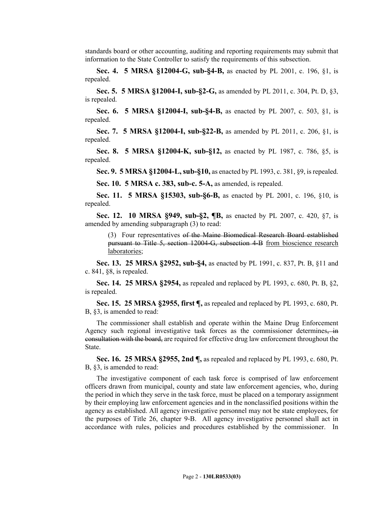standards board or other accounting, auditing and reporting requirements may submit that information to the State Controller to satisfy the requirements of this subsection.

**Sec. 4. 5 MRSA §12004-G, sub-§4-B,** as enacted by PL 2001, c. 196, §1, is repealed.

**Sec. 5. 5 MRSA §12004-I, sub-§2-G,** as amended by PL 2011, c. 304, Pt. D, §3, is repealed.

**Sec. 6. 5 MRSA §12004-I, sub-§4-B,** as enacted by PL 2007, c. 503, §1, is repealed.

**Sec. 7. 5 MRSA §12004-I, sub-§22-B,** as amended by PL 2011, c. 206, §1, is repealed.

**Sec. 8. 5 MRSA §12004-K, sub-§12,** as enacted by PL 1987, c. 786, §5, is repealed.

**Sec. 9. 5 MRSA §12004-L, sub-§10,** as enacted by PL 1993, c. 381, §9, is repealed.

**Sec. 10. 5 MRSA c. 383, sub-c. 5-A,** as amended, is repealed.

**Sec. 11. 5 MRSA §15303, sub-§6-B,** as enacted by PL 2001, c. 196, §10, is repealed.

**Sec. 12. 10 MRSA §949, sub-§2, ¶B,** as enacted by PL 2007, c. 420, §7, is amended by amending subparagraph (3) to read:

(3) Four representatives of the Maine Biomedical Research Board established pursuant to Title 5, section 12004‑G, subsection 4‑B from bioscience research laboratories;

**Sec. 13. 25 MRSA §2952, sub-§4,** as enacted by PL 1991, c. 837, Pt. B, §11 and c. 841, §8, is repealed.

**Sec. 14. 25 MRSA §2954,** as repealed and replaced by PL 1993, c. 680, Pt. B, §2, is repealed.

**Sec. 15. 25 MRSA §2955, first ¶,** as repealed and replaced by PL 1993, c. 680, Pt. B, §3, is amended to read:

The commissioner shall establish and operate within the Maine Drug Enforcement Agency such regional investigative task forces as the commissioner determines, in consultation with the board, are required for effective drug law enforcement throughout the State.

**Sec. 16. 25 MRSA §2955, 2nd ¶,** as repealed and replaced by PL 1993, c. 680, Pt. B, §3, is amended to read:

The investigative component of each task force is comprised of law enforcement officers drawn from municipal, county and state law enforcement agencies, who, during the period in which they serve in the task force, must be placed on a temporary assignment by their employing law enforcement agencies and in the nonclassified positions within the agency as established. All agency investigative personnel may not be state employees, for the purposes of Title 26, chapter 9‑B. All agency investigative personnel shall act in accordance with rules, policies and procedures established by the commissioner. In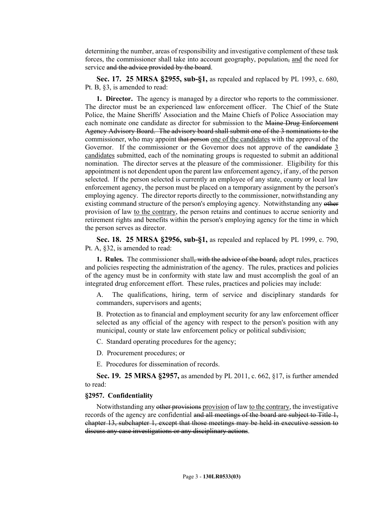determining the number, areas of responsibility and investigative complement of these task forces, the commissioner shall take into account geography, population, and the need for service and the advice provided by the board.

**Sec. 17. 25 MRSA §2955, sub-§1,** as repealed and replaced by PL 1993, c. 680, Pt. B, §3, is amended to read:

**1. Director.** The agency is managed by a director who reports to the commissioner. The director must be an experienced law enforcement officer. The Chief of the State Police, the Maine Sheriffs' Association and the Maine Chiefs of Police Association may each nominate one candidate as director for submission to the Maine Drug Enforcement Agency Advisory Board. The advisory board shall submit one of the 3 nominations to the commissioner, who may appoint that person one of the candidates with the approval of the Governor. If the commissioner or the Governor does not approve of the eandidate 3 candidates submitted, each of the nominating groups is requested to submit an additional nomination. The director serves at the pleasure of the commissioner. Eligibility for this appointment is not dependent upon the parent law enforcement agency, if any, of the person selected. If the person selected is currently an employee of any state, county or local law enforcement agency, the person must be placed on a temporary assignment by the person's employing agency. The director reports directly to the commissioner, notwithstanding any existing command structure of the person's employing agency. Notwithstanding any other provision of law to the contrary, the person retains and continues to accrue seniority and retirement rights and benefits within the person's employing agency for the time in which the person serves as director.

**Sec. 18. 25 MRSA §2956, sub-§1,** as repealed and replaced by PL 1999, c. 790, Pt. A, §32, is amended to read:

**1. Rules.** The commissioner shall<del>, with the advice of the board,</del> adopt rules, practices and policies respecting the administration of the agency. The rules, practices and policies of the agency must be in conformity with state law and must accomplish the goal of an integrated drug enforcement effort. These rules, practices and policies may include:

A. The qualifications, hiring, term of service and disciplinary standards for commanders, supervisors and agents;

B. Protection as to financial and employment security for any law enforcement officer selected as any official of the agency with respect to the person's position with any municipal, county or state law enforcement policy or political subdivision;

C. Standard operating procedures for the agency;

D. Procurement procedures; or

E. Procedures for dissemination of records.

**Sec. 19. 25 MRSA §2957,** as amended by PL 2011, c. 662, §17, is further amended to read:

### **§2957. Confidentiality**

Notwithstanding any other provisions provision of law to the contrary, the investigative records of the agency are confidential and all meetings of the board are subject to Title 1, chapter 13, subchapter 1, except that those meetings may be held in executive session to discuss any case investigations or any disciplinary actions.